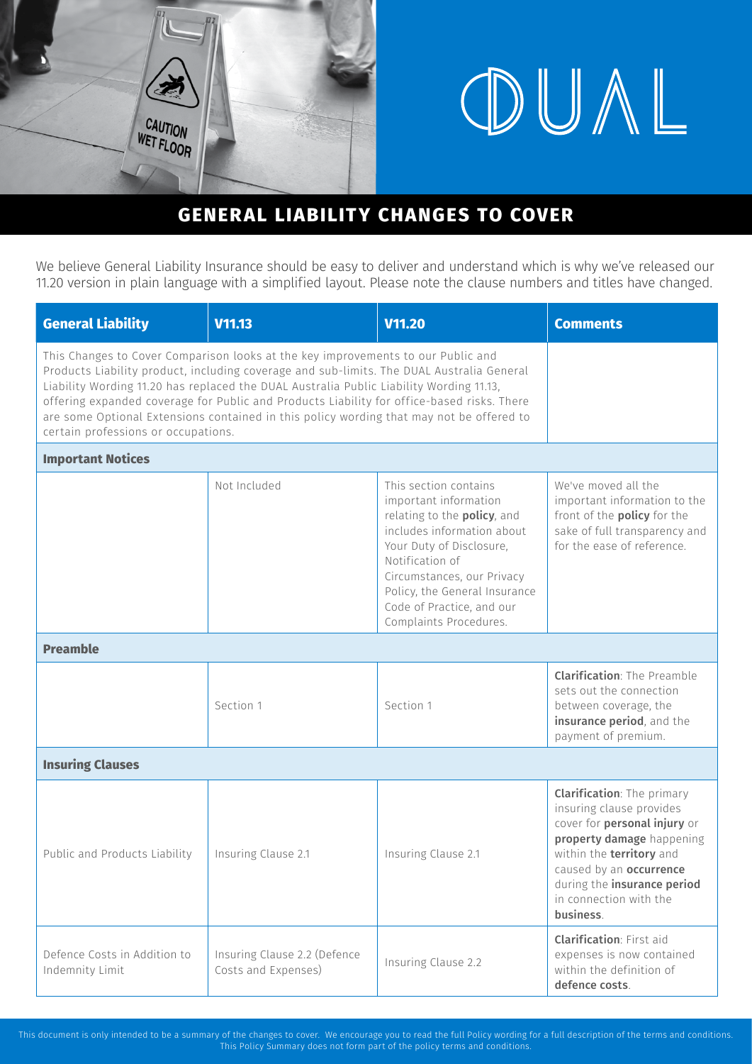

# OUAL

# **GENERAL LIABILITY CHANGES TO COVER**

We believe General Liability Insurance should be easy to deliver and understand which is why we've released our 11.20 version in plain language with a simplified layout. Please note the clause numbers and titles have changed.

| <b>General Liability</b>                                                                                                                                                                                                                                                                                                                                                                                                                                                                                  | V11.13                                              | V11.20                                                                                                                                                                                                                                                                           | <b>Comments</b>                                                                                                                                                                                                                                         |  |
|-----------------------------------------------------------------------------------------------------------------------------------------------------------------------------------------------------------------------------------------------------------------------------------------------------------------------------------------------------------------------------------------------------------------------------------------------------------------------------------------------------------|-----------------------------------------------------|----------------------------------------------------------------------------------------------------------------------------------------------------------------------------------------------------------------------------------------------------------------------------------|---------------------------------------------------------------------------------------------------------------------------------------------------------------------------------------------------------------------------------------------------------|--|
| This Changes to Cover Comparison looks at the key improvements to our Public and<br>Products Liability product, including coverage and sub-limits. The DUAL Australia General<br>Liability Wording 11.20 has replaced the DUAL Australia Public Liability Wording 11.13,<br>offering expanded coverage for Public and Products Liability for office-based risks. There<br>are some Optional Extensions contained in this policy wording that may not be offered to<br>certain professions or occupations. |                                                     |                                                                                                                                                                                                                                                                                  |                                                                                                                                                                                                                                                         |  |
| <b>Important Notices</b>                                                                                                                                                                                                                                                                                                                                                                                                                                                                                  |                                                     |                                                                                                                                                                                                                                                                                  |                                                                                                                                                                                                                                                         |  |
|                                                                                                                                                                                                                                                                                                                                                                                                                                                                                                           | Not Included                                        | This section contains<br>important information<br>relating to the policy, and<br>includes information about<br>Your Duty of Disclosure,<br>Notification of<br>Circumstances, our Privacy<br>Policy, the General Insurance<br>Code of Practice, and our<br>Complaints Procedures. | We've moved all the<br>important information to the<br>front of the <b>policy</b> for the<br>sake of full transparency and<br>for the ease of reference.                                                                                                |  |
| <b>Preamble</b>                                                                                                                                                                                                                                                                                                                                                                                                                                                                                           |                                                     |                                                                                                                                                                                                                                                                                  |                                                                                                                                                                                                                                                         |  |
|                                                                                                                                                                                                                                                                                                                                                                                                                                                                                                           | Section 1                                           | Section 1                                                                                                                                                                                                                                                                        | <b>Clarification: The Preamble</b><br>sets out the connection<br>between coverage, the<br>insurance period, and the<br>payment of premium.                                                                                                              |  |
| <b>Insuring Clauses</b>                                                                                                                                                                                                                                                                                                                                                                                                                                                                                   |                                                     |                                                                                                                                                                                                                                                                                  |                                                                                                                                                                                                                                                         |  |
| Public and Products Liability                                                                                                                                                                                                                                                                                                                                                                                                                                                                             | Insuring Clause 2.1                                 | Insuring Clause 2.1                                                                                                                                                                                                                                                              | <b>Clarification:</b> The primary<br>insuring clause provides<br>cover for personal injury or<br>property damage happening<br>within the territory and<br>caused by an occurrence<br>during the insurance period<br>in connection with the<br>business. |  |
| Defence Costs in Addition to<br>Indemnity Limit                                                                                                                                                                                                                                                                                                                                                                                                                                                           | Insuring Clause 2.2 (Defence<br>Costs and Expenses) | Insuring Clause 2.2                                                                                                                                                                                                                                                              | <b>Clarification: First aid</b><br>expenses is now contained<br>within the definition of<br>defence costs.                                                                                                                                              |  |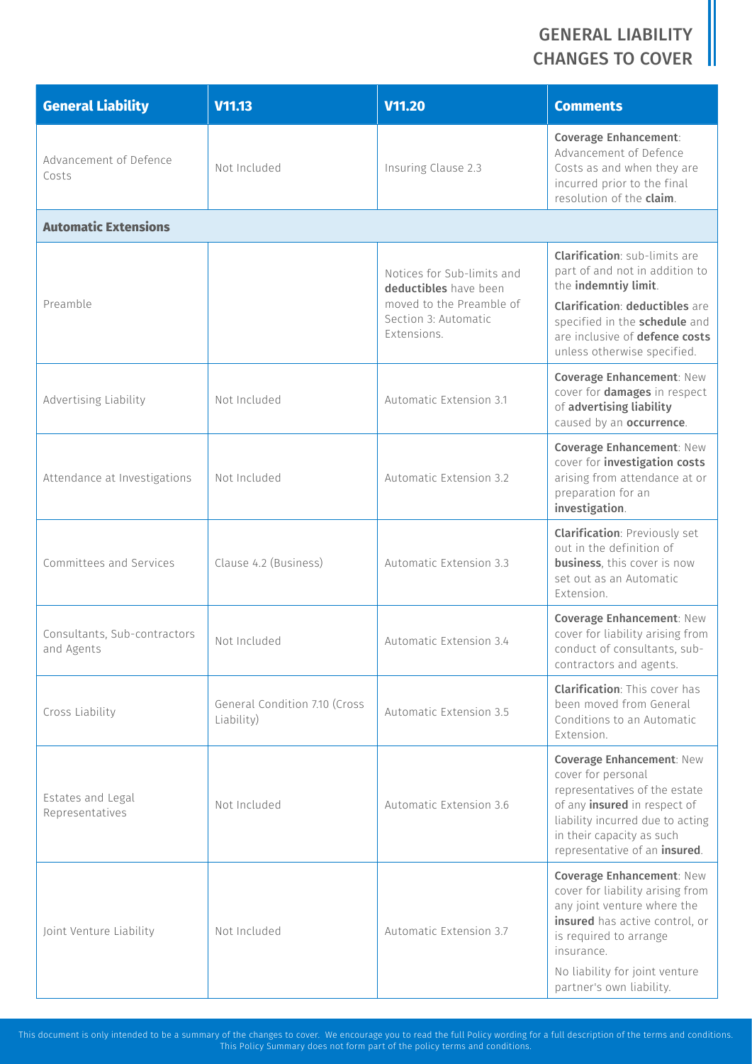| <b>General Liability</b>                   | V11.13                                      | V11.20                                                                                                                                                                      | <b>Comments</b>                                                                                                                                                                                                                      |
|--------------------------------------------|---------------------------------------------|-----------------------------------------------------------------------------------------------------------------------------------------------------------------------------|--------------------------------------------------------------------------------------------------------------------------------------------------------------------------------------------------------------------------------------|
| Advancement of Defence<br>Costs            | Not Included                                | Insuring Clause 2.3                                                                                                                                                         | <b>Coverage Enhancement:</b><br>Advancement of Defence<br>Costs as and when they are<br>incurred prior to the final<br>resolution of the claim.                                                                                      |
| <b>Automatic Extensions</b>                |                                             |                                                                                                                                                                             |                                                                                                                                                                                                                                      |
|                                            |                                             | Notices for Sub-limits and<br>deductibles have been                                                                                                                         | <b>Clarification:</b> sub-limits are<br>part of and not in addition to<br>the indemntiy limit.                                                                                                                                       |
| Preamble                                   |                                             | moved to the Preamble of<br>Section 3: Automatic<br>Extensions.<br>Automatic Extension 3.1<br>Automatic Extension 3.2<br>Automatic Extension 3.3<br>Automatic Extension 3.4 | <b>Clarification: deductibles are</b><br>specified in the schedule and<br>are inclusive of defence costs<br>unless otherwise specified.                                                                                              |
| Advertising Liability                      | Not Included                                |                                                                                                                                                                             | Coverage Enhancement: New<br>cover for <b>damages</b> in respect<br>of advertising liability<br>caused by an occurrence.                                                                                                             |
| Attendance at Investigations               | Not Included                                |                                                                                                                                                                             | Coverage Enhancement: New<br>cover for investigation costs<br>arising from attendance at or<br>preparation for an<br>investigation.                                                                                                  |
| Committees and Services                    | Clause 4.2 (Business)                       |                                                                                                                                                                             | <b>Clarification: Previously set</b><br>out in the definition of<br><b>business</b> , this cover is now<br>set out as an Automatic<br>Extension.                                                                                     |
| Consultants, Sub-contractors<br>and Agents | Not Included                                |                                                                                                                                                                             | Coverage Enhancement: New<br>cover for liability arising from<br>conduct of consultants, sub-<br>contractors and agents.                                                                                                             |
| Cross Liability                            | General Condition 7.10 (Cross<br>Liability) | Automatic Extension 3.5                                                                                                                                                     | <b>Clarification: This cover has</b><br>been moved from General<br>Conditions to an Automatic<br>Extension.                                                                                                                          |
| Estates and Legal<br>Representatives       | Not Included                                | Automatic Extension 3.6                                                                                                                                                     | <b>Coverage Enhancement: New</b><br>cover for personal<br>representatives of the estate<br>of any <i>insured</i> in respect of<br>liability incurred due to acting<br>in their capacity as such<br>representative of an insured.     |
| Joint Venture Liability                    | Not Included                                | Automatic Extension 3.7                                                                                                                                                     | Coverage Enhancement: New<br>cover for liability arising from<br>any joint venture where the<br>insured has active control, or<br>is required to arrange<br>insurance.<br>No liability for joint venture<br>partner's own liability. |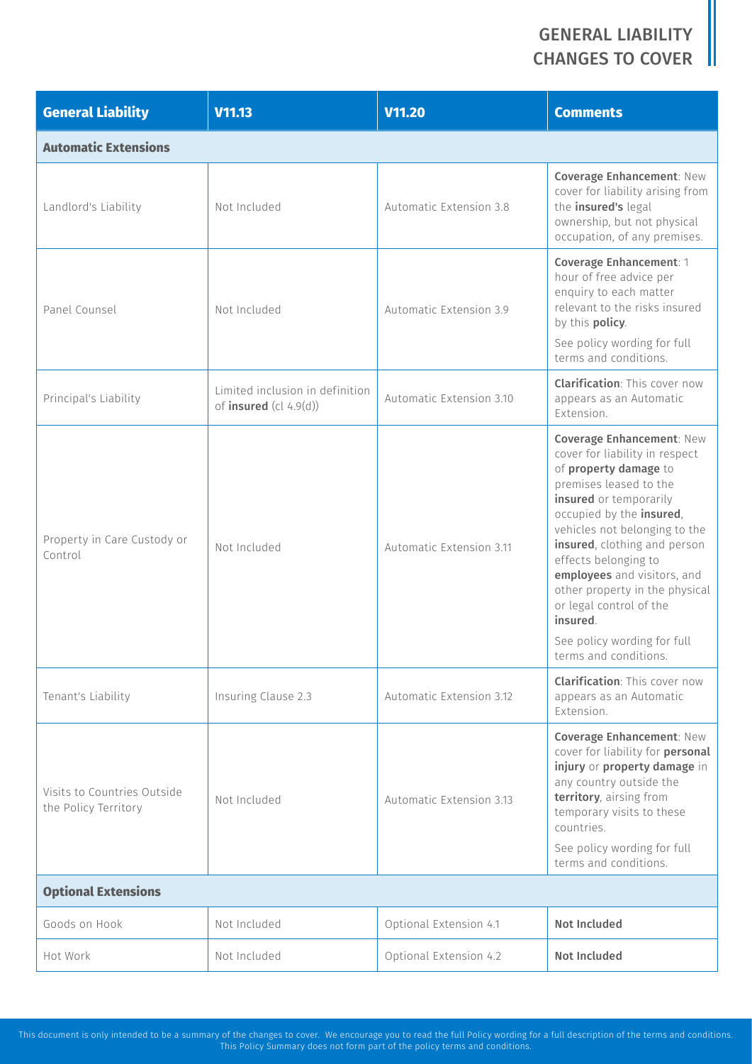| <b>General Liability</b>                            | V11.13                                                      | <b>V11.20</b>            | <b>Comments</b>                                                                                                                                                                                                                                                                                                                                                                                                               |
|-----------------------------------------------------|-------------------------------------------------------------|--------------------------|-------------------------------------------------------------------------------------------------------------------------------------------------------------------------------------------------------------------------------------------------------------------------------------------------------------------------------------------------------------------------------------------------------------------------------|
| <b>Automatic Extensions</b>                         |                                                             |                          |                                                                                                                                                                                                                                                                                                                                                                                                                               |
| Landlord's Liability                                | Not Included                                                | Automatic Extension 3.8  | Coverage Enhancement: New<br>cover for liability arising from<br>the insured's legal<br>ownership, but not physical<br>occupation, of any premises.                                                                                                                                                                                                                                                                           |
| Panel Counsel                                       | Not Included                                                | Automatic Extension 3.9  | Coverage Enhancement: 1<br>hour of free advice per<br>enquiry to each matter<br>relevant to the risks insured<br>by this policy.<br>See policy wording for full<br>terms and conditions.                                                                                                                                                                                                                                      |
| Principal's Liability                               | Limited inclusion in definition<br>of insured $(cl 4.9(d))$ | Automatic Extension 3.10 | <b>Clarification: This cover now</b><br>appears as an Automatic<br>Extension.                                                                                                                                                                                                                                                                                                                                                 |
| Property in Care Custody or<br>Control              | Not Included                                                | Automatic Extension 3.11 | Coverage Enhancement: New<br>cover for liability in respect<br>of property damage to<br>premises leased to the<br>insured or temporarily<br>occupied by the insured,<br>vehicles not belonging to the<br>insured, clothing and person<br>effects belonging to<br>employees and visitors, and<br>other property in the physical<br>or legal control of the<br>insured.<br>See policy wording for full<br>terms and conditions. |
| Tenant's Liability                                  | Insuring Clause 2.3                                         | Automatic Extension 3.12 | <b>Clarification: This cover now</b><br>appears as an Automatic<br>Extension.                                                                                                                                                                                                                                                                                                                                                 |
| Visits to Countries Outside<br>the Policy Territory | Not Included                                                | Automatic Extension 3.13 | <b>Coverage Enhancement: New</b><br>cover for liability for <b>personal</b><br>injury or property damage in<br>any country outside the<br>territory, airsing from<br>temporary visits to these<br>countries.<br>See policy wording for full<br>terms and conditions.                                                                                                                                                          |
| <b>Optional Extensions</b>                          |                                                             |                          |                                                                                                                                                                                                                                                                                                                                                                                                                               |
| Goods on Hook                                       | Not Included                                                | Optional Extension 4.1   | <b>Not Included</b>                                                                                                                                                                                                                                                                                                                                                                                                           |
| Hot Work                                            | Not Included                                                | Optional Extension 4.2   | Not Included                                                                                                                                                                                                                                                                                                                                                                                                                  |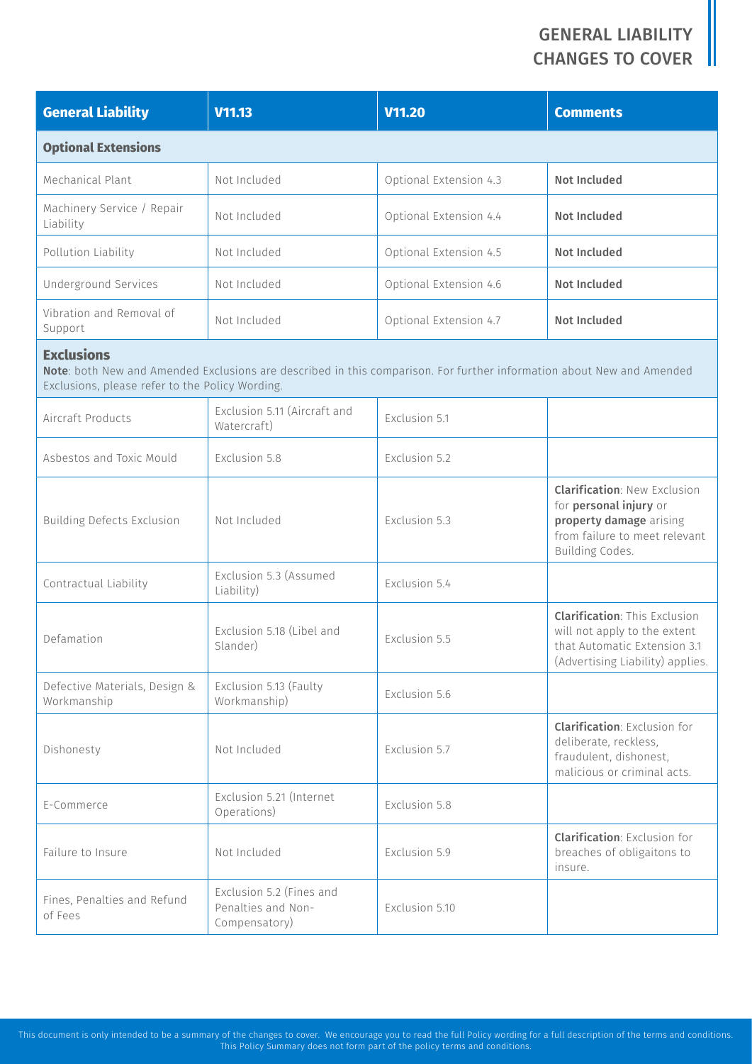| <b>General Liability</b>                                             | V11.13                                                          | <b>V11.20</b>                                                                                                         | <b>Comments</b>                                                                                                                              |
|----------------------------------------------------------------------|-----------------------------------------------------------------|-----------------------------------------------------------------------------------------------------------------------|----------------------------------------------------------------------------------------------------------------------------------------------|
| <b>Optional Extensions</b>                                           |                                                                 |                                                                                                                       |                                                                                                                                              |
| Mechanical Plant                                                     | Not Included                                                    | Optional Extension 4.3                                                                                                | <b>Not Included</b>                                                                                                                          |
| Machinery Service / Repair<br>Liability                              | Not Included                                                    | Optional Extension 4.4                                                                                                | <b>Not Included</b>                                                                                                                          |
| Pollution Liability                                                  | Not Included                                                    | Optional Extension 4.5                                                                                                | Not Included                                                                                                                                 |
| Underground Services                                                 | Not Included                                                    | Optional Extension 4.6                                                                                                | Not Included                                                                                                                                 |
| Vibration and Removal of<br>Support                                  | Not Included                                                    | Optional Extension 4.7                                                                                                | Not Included                                                                                                                                 |
| <b>Exclusions</b><br>Exclusions, please refer to the Policy Wording. |                                                                 | Note: both New and Amended Exclusions are described in this comparison. For further information about New and Amended |                                                                                                                                              |
| Aircraft Products                                                    | Exclusion 5.11 (Aircraft and<br>Watercraft)                     | Exclusion 5.1                                                                                                         |                                                                                                                                              |
| Asbestos and Toxic Mould                                             | Exclusion 5.8                                                   | Exclusion 5.2                                                                                                         |                                                                                                                                              |
| <b>Building Defects Exclusion</b>                                    | Not Included                                                    | Exclusion 5.3                                                                                                         | <b>Clarification: New Exclusion</b><br>for personal injury or<br>property damage arising<br>from failure to meet relevant<br>Building Codes. |
| Contractual Liability                                                | Exclusion 5.3 (Assumed<br>Liability)                            | Exclusion 5.4                                                                                                         |                                                                                                                                              |
| Defamation                                                           | Exclusion 5.18 (Libel and<br>Slander)                           | Exclusion 5.5                                                                                                         | <b>Clarification: This Exclusion</b><br>will not apply to the extent<br>that Automatic Extension 3.1<br>(Advertising Liability) applies.     |
| Defective Materials, Design &<br>Workmanship                         | Exclusion 5.13 (Faulty<br>Workmanship)                          | Exclusion 5.6                                                                                                         |                                                                                                                                              |
| Dishonesty                                                           | Not Included                                                    | Exclusion 5.7                                                                                                         | <b>Clarification: Exclusion for</b><br>deliberate, reckless,<br>fraudulent, dishonest,<br>malicious or criminal acts.                        |
| E-Commerce                                                           | Exclusion 5.21 (Internet<br>Operations)                         | Exclusion 5.8                                                                                                         |                                                                                                                                              |
| Failure to Insure                                                    | Not Included                                                    | Exclusion 5.9                                                                                                         | <b>Clarification: Exclusion for</b><br>breaches of obligaitons to<br>insure.                                                                 |
| Fines, Penalties and Refund<br>of Fees                               | Exclusion 5.2 (Fines and<br>Penalties and Non-<br>Compensatory) | Exclusion 5.10                                                                                                        |                                                                                                                                              |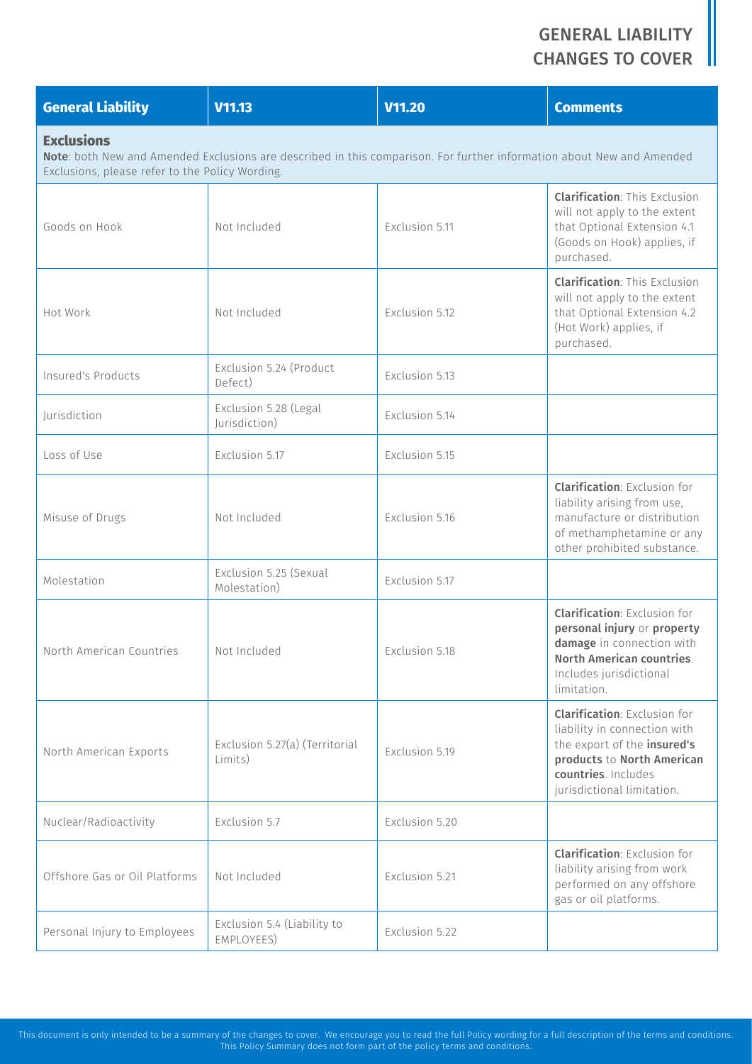| <b>General Liability</b>      | V11.13                                                                                                                                                                   | <b>V11.20</b>  | <b>Comments</b>                                                                                                                                                                       |  |  |
|-------------------------------|--------------------------------------------------------------------------------------------------------------------------------------------------------------------------|----------------|---------------------------------------------------------------------------------------------------------------------------------------------------------------------------------------|--|--|
| <b>Exclusions</b>             | Note: both New and Amended Exclusions are described in this comparison. For further information about New and Amended<br>Exclusions, please refer to the Policy Wording. |                |                                                                                                                                                                                       |  |  |
| Goods on Hook                 | Not Included                                                                                                                                                             | Exclusion 5.11 | <b>Clarification: This Exclusion</b><br>will not apply to the extent<br>that Optional Extension 4.1<br>(Goods on Hook) applies, if<br>purchased.                                      |  |  |
| Hot Work                      | Not Included                                                                                                                                                             | Exclusion 5.12 | <b>Clarification: This Exclusion</b><br>will not apply to the extent<br>that Optional Extension 4.2<br>(Hot Work) applies, if<br>purchased.                                           |  |  |
| Insured's Products            | Exclusion 5.24 (Product<br>Defect)                                                                                                                                       | Exclusion 5.13 |                                                                                                                                                                                       |  |  |
| Jurisdiction                  | Exclusion 5.28 (Legal<br>Jurisdiction)                                                                                                                                   | Exclusion 5.14 |                                                                                                                                                                                       |  |  |
| Loss of Use                   | Exclusion 5.17                                                                                                                                                           | Exclusion 5.15 |                                                                                                                                                                                       |  |  |
| Misuse of Drugs               | Not Included                                                                                                                                                             | Exclusion 5.16 | <b>Clarification: Exclusion for</b><br>liability arising from use,<br>manufacture or distribution<br>of methamphetamine or any<br>other prohibited substance.                         |  |  |
| Molestation                   | Exclusion 5.25 (Sexual<br>Molestation)                                                                                                                                   | Exclusion 5.17 |                                                                                                                                                                                       |  |  |
| North American Countries      | Not Included                                                                                                                                                             | Exclusion 5.18 | <b>Clarification: Exclusion for</b><br>personal injury or property<br>damage in connection with<br>North American countries.<br>Includes jurisdictional<br>limitation.                |  |  |
| North American Exports        | Exclusion 5.27(a) (Territorial<br>Limits)                                                                                                                                | Exclusion 5.19 | <b>Clarification: Exclusion for</b><br>liability in connection with<br>the export of the insured's<br>products to North American<br>countries. Includes<br>jurisdictional limitation. |  |  |
| Nuclear/Radioactivity         | Exclusion 5.7                                                                                                                                                            | Exclusion 5.20 |                                                                                                                                                                                       |  |  |
| Offshore Gas or Oil Platforms | Not Included                                                                                                                                                             | Exclusion 5.21 | <b>Clarification: Exclusion for</b><br>liability arising from work<br>performed on any offshore<br>gas or oil platforms.                                                              |  |  |
| Personal Injury to Employees  | Exclusion 5.4 (Liability to<br>EMPLOYEES)                                                                                                                                | Exclusion 5.22 |                                                                                                                                                                                       |  |  |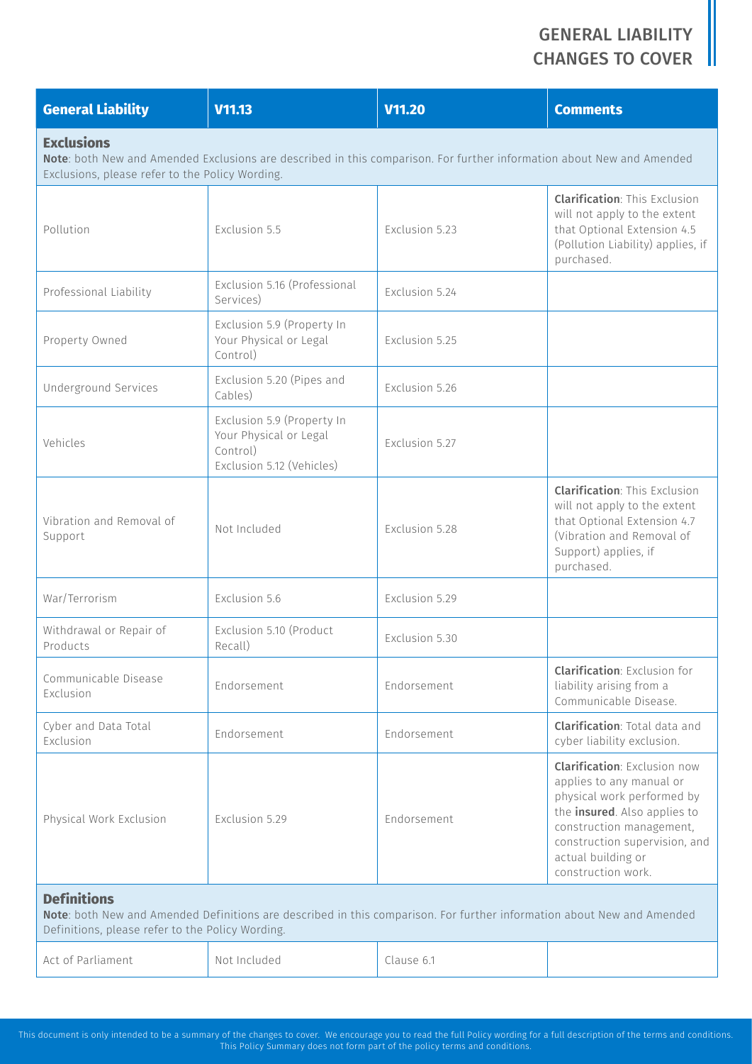| <b>General Liability</b>                                                                                                                                                                         | V11.13                                                                                        | <b>V11.20</b>  | <b>Comments</b>                                                                                                                                                                                                                        |  |
|--------------------------------------------------------------------------------------------------------------------------------------------------------------------------------------------------|-----------------------------------------------------------------------------------------------|----------------|----------------------------------------------------------------------------------------------------------------------------------------------------------------------------------------------------------------------------------------|--|
| <b>Exclusions</b><br>Note: both New and Amended Exclusions are described in this comparison. For further information about New and Amended<br>Exclusions, please refer to the Policy Wording.    |                                                                                               |                |                                                                                                                                                                                                                                        |  |
| Pollution                                                                                                                                                                                        | Exclusion 5.5                                                                                 | Exclusion 5.23 | <b>Clarification: This Exclusion</b><br>will not apply to the extent<br>that Optional Extension 4.5<br>(Pollution Liability) applies, if<br>purchased.                                                                                 |  |
| Professional Liability                                                                                                                                                                           | Exclusion 5.16 (Professional<br>Services)                                                     | Exclusion 5.24 |                                                                                                                                                                                                                                        |  |
| Property Owned                                                                                                                                                                                   | Exclusion 5.9 (Property In<br>Your Physical or Legal<br>Control)                              | Exclusion 5.25 |                                                                                                                                                                                                                                        |  |
| <b>Underground Services</b>                                                                                                                                                                      | Exclusion 5.20 (Pipes and<br>Cables)                                                          | Exclusion 5.26 |                                                                                                                                                                                                                                        |  |
| Vehicles                                                                                                                                                                                         | Exclusion 5.9 (Property In<br>Your Physical or Legal<br>Control)<br>Exclusion 5.12 (Vehicles) | Exclusion 5.27 |                                                                                                                                                                                                                                        |  |
| Vibration and Removal of<br>Support                                                                                                                                                              | Not Included                                                                                  | Exclusion 5.28 | <b>Clarification: This Exclusion</b><br>will not apply to the extent<br>that Optional Extension 4.7<br>(Vibration and Removal of<br>Support) applies, if<br>purchased.                                                                 |  |
| War/Terrorism                                                                                                                                                                                    | Exclusion 5.6                                                                                 | Exclusion 5.29 |                                                                                                                                                                                                                                        |  |
| Withdrawal or Repair of<br>Products                                                                                                                                                              | Exclusion 5.10 (Product<br>Recall)                                                            | Exclusion 5.30 |                                                                                                                                                                                                                                        |  |
| Communicable Disease<br>Exclusion                                                                                                                                                                | Endorsement                                                                                   | Endorsement    | <b>Clarification: Exclusion for</b><br>liability arising from a<br>Communicable Disease.                                                                                                                                               |  |
| Cyber and Data Total<br>Exclusion                                                                                                                                                                | Endorsement                                                                                   | Endorsement    | <b>Clarification: Total data and</b><br>cyber liability exclusion.                                                                                                                                                                     |  |
| Physical Work Exclusion                                                                                                                                                                          | Exclusion 5.29                                                                                | Endorsement    | <b>Clarification: Exclusion now</b><br>applies to any manual or<br>physical work performed by<br>the insured. Also applies to<br>construction management,<br>construction supervision, and<br>actual building or<br>construction work. |  |
| <b>Definitions</b><br>Note: both New and Amended Definitions are described in this comparison. For further information about New and Amended<br>Definitions, please refer to the Policy Wording. |                                                                                               |                |                                                                                                                                                                                                                                        |  |
| Act of Parliament                                                                                                                                                                                | Not Included                                                                                  | Clause 6.1     |                                                                                                                                                                                                                                        |  |
|                                                                                                                                                                                                  |                                                                                               |                |                                                                                                                                                                                                                                        |  |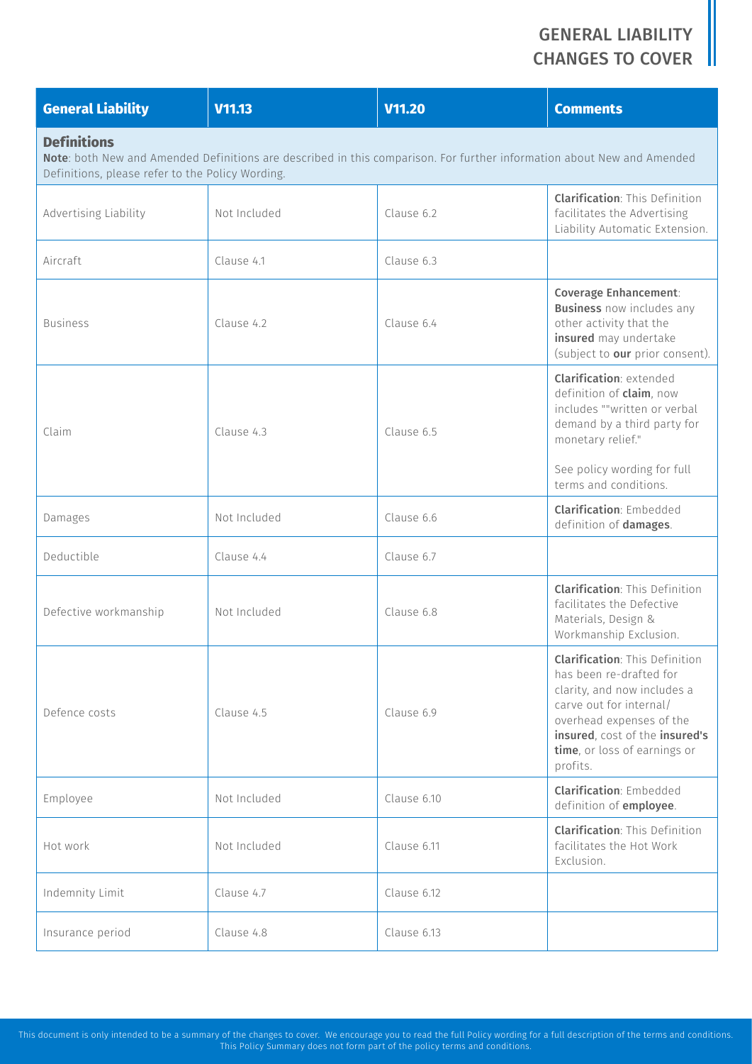| <b>General Liability</b>                                               | V11.13       | V11.20                                                                                                                 | <b>Comments</b>                                                                                                                                                                                                                      |
|------------------------------------------------------------------------|--------------|------------------------------------------------------------------------------------------------------------------------|--------------------------------------------------------------------------------------------------------------------------------------------------------------------------------------------------------------------------------------|
| <b>Definitions</b><br>Definitions, please refer to the Policy Wording. |              | Note: both New and Amended Definitions are described in this comparison. For further information about New and Amended |                                                                                                                                                                                                                                      |
| Advertising Liability                                                  | Not Included | Clause 6.2                                                                                                             | <b>Clarification: This Definition</b><br>facilitates the Advertising<br>Liability Automatic Extension.                                                                                                                               |
| Aircraft                                                               | Clause 4.1   | Clause 6.3                                                                                                             |                                                                                                                                                                                                                                      |
| <b>Business</b>                                                        | Clause 4.2   | Clause 6.4                                                                                                             | <b>Coverage Enhancement:</b><br><b>Business</b> now includes any<br>other activity that the<br>insured may undertake<br>(subject to our prior consent).                                                                              |
| Claim                                                                  | Clause 4.3   | Clause 6.5                                                                                                             | <b>Clarification: extended</b><br>definition of <b>claim</b> , now<br>includes ""written or verbal<br>demand by a third party for<br>monetary relief."<br>See policy wording for full<br>terms and conditions.                       |
| Damages                                                                | Not Included | Clause 6.6                                                                                                             | <b>Clarification: Embedded</b><br>definition of damages.                                                                                                                                                                             |
| Deductible                                                             | Clause 4.4   | Clause 6.7                                                                                                             |                                                                                                                                                                                                                                      |
| Defective workmanship                                                  | Not Included | Clause 6.8                                                                                                             | <b>Clarification: This Definition</b><br>facilitates the Defective<br>Materials, Design &<br>Workmanship Exclusion.                                                                                                                  |
| Defence costs                                                          | Clause 4.5   | Clause 6.9                                                                                                             | <b>Clarification: This Definition</b><br>has been re-drafted for<br>clarity, and now includes a<br>carve out for internal/<br>overhead expenses of the<br>insured, cost of the insured's<br>time, or loss of earnings or<br>profits. |
| Employee                                                               | Not Included | Clause 6.10                                                                                                            | <b>Clarification: Embedded</b><br>definition of <i>employee</i> .                                                                                                                                                                    |
| Hot work                                                               | Not Included | Clause 6.11                                                                                                            | <b>Clarification: This Definition</b><br>facilitates the Hot Work<br>Exclusion.                                                                                                                                                      |
| Indemnity Limit                                                        | Clause 4.7   | Clause 6.12                                                                                                            |                                                                                                                                                                                                                                      |
| Insurance period                                                       | Clause 4.8   | Clause 6.13                                                                                                            |                                                                                                                                                                                                                                      |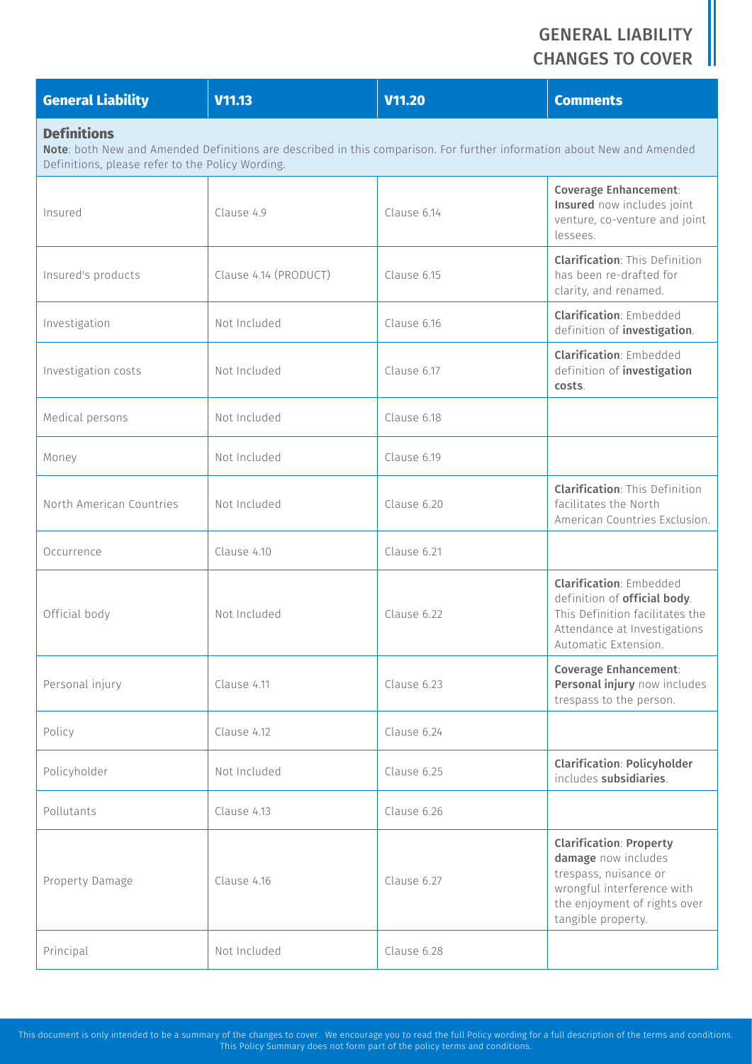| <b>General Liability</b>                                                                                                                                                                         | V11.13                | V11.20      | <b>Comments</b>                                                                                                                                                    |  |
|--------------------------------------------------------------------------------------------------------------------------------------------------------------------------------------------------|-----------------------|-------------|--------------------------------------------------------------------------------------------------------------------------------------------------------------------|--|
| <b>Definitions</b><br>Note: both New and Amended Definitions are described in this comparison. For further information about New and Amended<br>Definitions, please refer to the Policy Wording. |                       |             |                                                                                                                                                                    |  |
| Insured                                                                                                                                                                                          | Clause 4.9            | Clause 6.14 | <b>Coverage Enhancement:</b><br>Insured now includes joint<br>venture, co-venture and joint<br>lessees.                                                            |  |
| Insured's products                                                                                                                                                                               | Clause 4.14 (PRODUCT) | Clause 6.15 | <b>Clarification: This Definition</b><br>has been re-drafted for<br>clarity, and renamed.                                                                          |  |
| Investigation                                                                                                                                                                                    | Not Included          | Clause 6.16 | <b>Clarification: Embedded</b><br>definition of <i>investigation</i> .                                                                                             |  |
| Investigation costs                                                                                                                                                                              | Not Included          | Clause 6.17 | <b>Clarification: Embedded</b><br>definition of <i>investigation</i><br>costs.                                                                                     |  |
| Medical persons                                                                                                                                                                                  | Not Included          | Clause 6.18 |                                                                                                                                                                    |  |
| Money                                                                                                                                                                                            | Not Included          | Clause 6.19 |                                                                                                                                                                    |  |
| North American Countries                                                                                                                                                                         | Not Included          | Clause 6.20 | <b>Clarification: This Definition</b><br>facilitates the North<br>American Countries Exclusion.                                                                    |  |
| Occurrence                                                                                                                                                                                       | Clause 4.10           | Clause 6.21 |                                                                                                                                                                    |  |
| Official body                                                                                                                                                                                    | Not Included          | Clause 6.22 | <b>Clarification: Embedded</b><br>definition of official body.<br>This Definition facilitates the<br>Attendance at Investigations<br>Automatic Extension.          |  |
| Personal injury                                                                                                                                                                                  | Clause 4.11           | Clause 6.23 | <b>Coverage Enhancement:</b><br>Personal injury now includes<br>trespass to the person.                                                                            |  |
| Policy                                                                                                                                                                                           | Clause 4.12           | Clause 6.24 |                                                                                                                                                                    |  |
| Policyholder                                                                                                                                                                                     | Not Included          | Clause 6.25 | <b>Clarification: Policyholder</b><br>includes subsidiaries.                                                                                                       |  |
| Pollutants                                                                                                                                                                                       | Clause 4.13           | Clause 6.26 |                                                                                                                                                                    |  |
| Property Damage                                                                                                                                                                                  | Clause 4.16           | Clause 6.27 | <b>Clarification: Property</b><br>damage now includes<br>trespass, nuisance or<br>wrongful interference with<br>the enjoyment of rights over<br>tangible property. |  |
| Principal                                                                                                                                                                                        | Not Included          | Clause 6.28 |                                                                                                                                                                    |  |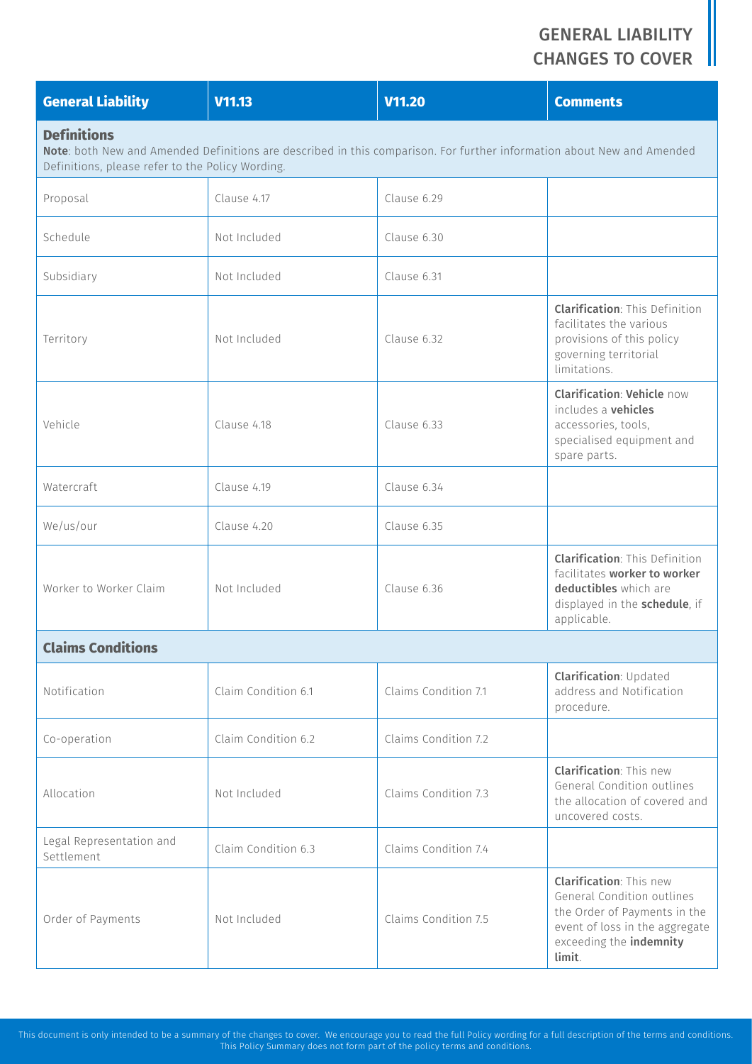| <b>General Liability</b>                                                                                                                                                                         | V11.13              | <b>V11.20</b>        | <b>Comments</b>                                                                                                                                                            |
|--------------------------------------------------------------------------------------------------------------------------------------------------------------------------------------------------|---------------------|----------------------|----------------------------------------------------------------------------------------------------------------------------------------------------------------------------|
| <b>Definitions</b><br>Note: both New and Amended Definitions are described in this comparison. For further information about New and Amended<br>Definitions, please refer to the Policy Wording. |                     |                      |                                                                                                                                                                            |
| Proposal                                                                                                                                                                                         | Clause 4.17         | Clause 6.29          |                                                                                                                                                                            |
| Schedule                                                                                                                                                                                         | Not Included        | Clause 6.30          |                                                                                                                                                                            |
| Subsidiary                                                                                                                                                                                       | Not Included        | Clause 6.31          |                                                                                                                                                                            |
| Territory                                                                                                                                                                                        | Not Included        | Clause 6.32          | <b>Clarification: This Definition</b><br>facilitates the various<br>provisions of this policy<br>governing territorial<br>limitations.                                     |
| Vehicle                                                                                                                                                                                          | Clause 4.18         | Clause 6.33          | <b>Clarification: Vehicle now</b><br>includes a <b>vehicles</b><br>accessories, tools,<br>specialised equipment and<br>spare parts.                                        |
| Watercraft                                                                                                                                                                                       | Clause 4.19         | Clause 6.34          |                                                                                                                                                                            |
| We/us/our                                                                                                                                                                                        | Clause 4.20         | Clause 6.35          |                                                                                                                                                                            |
| Worker to Worker Claim                                                                                                                                                                           | Not Included        | Clause 6.36          | <b>Clarification: This Definition</b><br>facilitates worker to worker<br>deductibles which are<br>displayed in the schedule, if<br>applicable.                             |
| <b>Claims Conditions</b>                                                                                                                                                                         |                     |                      |                                                                                                                                                                            |
| Notification                                                                                                                                                                                     | Claim Condition 6.1 | Claims Condition 7.1 | <b>Clarification: Updated</b><br>address and Notification<br>procedure.                                                                                                    |
| Co-operation                                                                                                                                                                                     | Claim Condition 6.2 | Claims Condition 7.2 |                                                                                                                                                                            |
| Allocation                                                                                                                                                                                       | Not Included        | Claims Condition 7.3 | <b>Clarification: This new</b><br>General Condition outlines<br>the allocation of covered and<br>uncovered costs.                                                          |
| Legal Representation and<br>Settlement                                                                                                                                                           | Claim Condition 6.3 | Claims Condition 7.4 |                                                                                                                                                                            |
| Order of Payments                                                                                                                                                                                | Not Included        | Claims Condition 7.5 | <b>Clarification: This new</b><br>General Condition outlines<br>the Order of Payments in the<br>event of loss in the aggregate<br>exceeding the <i>indemnity</i><br>limit. |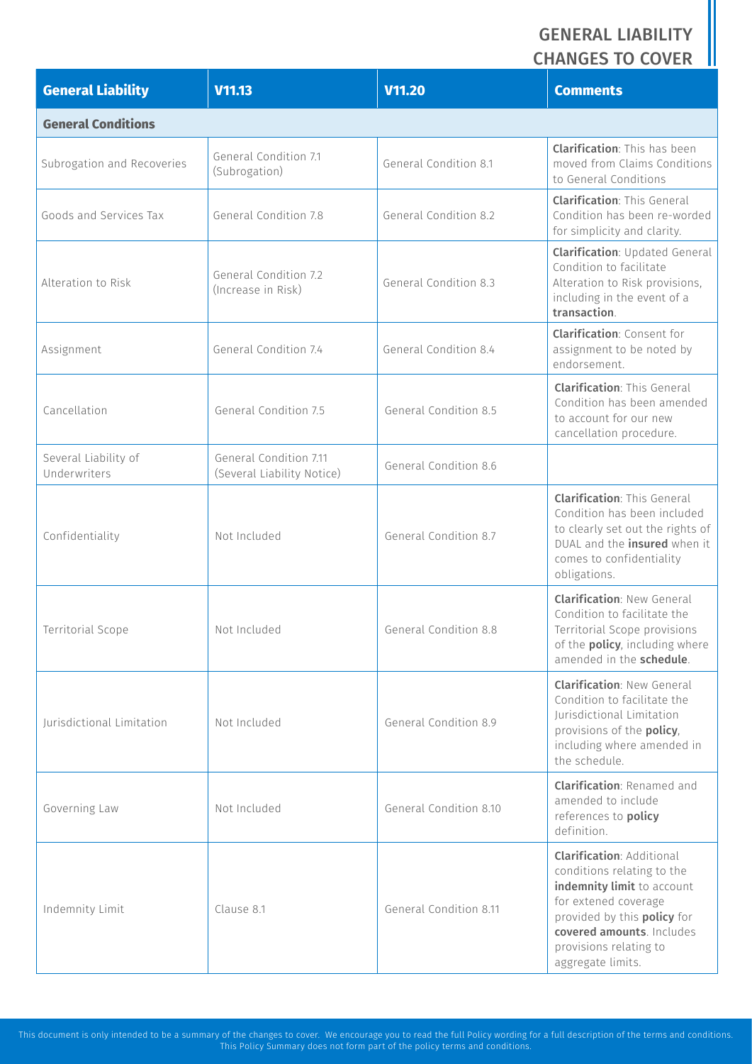| <b>General Liability</b>             | V <sub>11.13</sub>                                   | V11.20                 | <b>Comments</b>                                                                                                                                                                                                                 |
|--------------------------------------|------------------------------------------------------|------------------------|---------------------------------------------------------------------------------------------------------------------------------------------------------------------------------------------------------------------------------|
| <b>General Conditions</b>            |                                                      |                        |                                                                                                                                                                                                                                 |
| Subrogation and Recoveries           | General Condition 7.1<br>(Subrogation)               | General Condition 8.1  | <b>Clarification: This has been</b><br>moved from Claims Conditions<br>to General Conditions                                                                                                                                    |
| Goods and Services Tax               | General Condition 7.8                                | General Condition 8.2  | <b>Clarification: This General</b><br>Condition has been re-worded<br>for simplicity and clarity.                                                                                                                               |
| Alteration to Risk                   | General Condition 7.2<br>(Increase in Risk)          | General Condition 8.3  | <b>Clarification: Updated General</b><br>Condition to facilitate<br>Alteration to Risk provisions,<br>including in the event of a<br>transaction.                                                                               |
| Assignment                           | General Condition 7.4                                | General Condition 8.4  | <b>Clarification: Consent for</b><br>assignment to be noted by<br>endorsement.                                                                                                                                                  |
| Cancellation                         | General Condition 7.5                                | General Condition 8.5  | <b>Clarification: This General</b><br>Condition has been amended<br>to account for our new<br>cancellation procedure.                                                                                                           |
| Several Liability of<br>Underwriters | General Condition 7.11<br>(Several Liability Notice) | General Condition 8.6  |                                                                                                                                                                                                                                 |
| Confidentiality                      | Not Included                                         | General Condition 8.7  | <b>Clarification: This General</b><br>Condition has been included<br>to clearly set out the rights of<br>DUAL and the insured when it<br>comes to confidentiality<br>obligations.                                               |
| Territorial Scope                    | Not Included                                         | General Condition 8.8  | <b>Clarification: New General</b><br>Condition to facilitate the<br>Territorial Scope provisions<br>of the <b>policy</b> , including where<br>amended in the schedule.                                                          |
| <b>Iurisdictional Limitation</b>     | Not Included                                         | General Condition 8.9  | <b>Clarification: New General</b><br>Condition to facilitate the<br>Jurisdictional Limitation<br>provisions of the policy,<br>including where amended in<br>the schedule.                                                       |
| Governing Law                        | Not Included                                         | General Condition 8.10 | <b>Clarification: Renamed and</b><br>amended to include<br>references to policy<br>definition.                                                                                                                                  |
| Indemnity Limit                      | Clause 8.1                                           | General Condition 8.11 | <b>Clarification: Additional</b><br>conditions relating to the<br>indemnity limit to account<br>for extened coverage<br>provided by this policy for<br>covered amounts. Includes<br>provisions relating to<br>aggregate limits. |